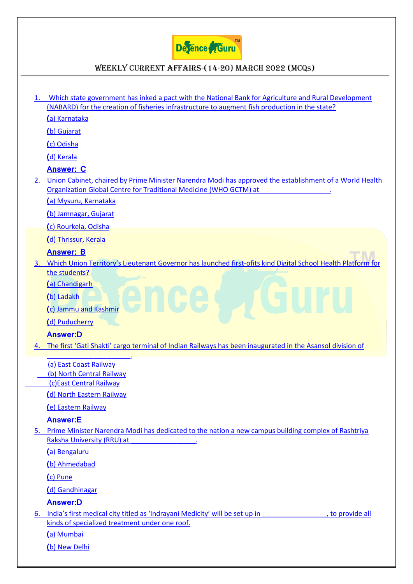

### Weekly Current Affairs-(14-20) March 2022 (MCQS)

[1. Which state government has inked a pact with the National Bank for Agriculture and Rural Development](https://www.defenceguru.co.in/)  [\(NABARD\) for the creation of fisheries infrastructure to augment fish production in the state?](https://www.defenceguru.co.in/) **(**[a\) Karnataka](https://www.defenceguru.co.in/) **(**[b\) Gujarat](https://www.defenceguru.co.in/) **(**[c\) Odisha](https://www.defenceguru.co.in/) **(**[d\) Kerala](https://www.defenceguru.co.in/) **[Answer: C](https://www.defenceguru.co.in/)** [2. Union Cabinet, chaired by Prime Minister Narendra Modi has approved the establishment of a World Health](https://www.defenceguru.co.in/)  Organization Global Centre for Traditional Medicine (WHO GCTM) at **(**[a\) Mysuru, Karnataka](https://www.defenceguru.co.in/) **(**[b\) Jamnagar, Gujarat](https://www.defenceguru.co.in/) **(**[c\) Rourkela, Odisha](https://www.defenceguru.co.in/) **(**[d\) Thrissur, Kerala](https://www.defenceguru.co.in/) **[Answer: B](https://www.defenceguru.co.in/)** 3. [Which Union Territory's Lieutenant Governor has launched firs](https://www.defenceguru.co.in/)t-ofits kind Digital School Health Platform for [the students?](https://www.defenceguru.co.in/) **(**[a\) Chandigarh](https://www.defenceguru.co.in/) **(**[b\) Ladakh](https://www.defenceguru.co.in/) **(**[c\) Jammu and Kashmir](https://www.defenceguru.co.in/) **(**[d\) Puducherry](https://www.defenceguru.co.in/) **[Answer:D](https://www.defenceguru.co.in/)** 4. [The first 'Gati Shakti' cargo terminal of Indian Railways has been inaugurated in the Asansol](https://www.defenceguru.co.in/) division of [\\_\\_\\_\\_\\_\\_\\_\\_\\_\\_\\_\\_\\_\\_\\_\\_\\_\\_\\_\\_\\_\\_.](https://www.defenceguru.co.in/)  [\(a\) East Coast Railway](https://www.defenceguru.co.in/)   [\(b\) North Central Railway](https://www.defenceguru.co.in/)   [\(c\)East Central Railway](https://www.defenceguru.co.in/) **(**[d\) North Eastern Railway](https://www.defenceguru.co.in/) **(**[e\) Eastern Railway](https://www.defenceguru.co.in/) **[Answer:E](https://www.defenceguru.co.in/)** 5. Prime Minister Narendra Modi [has dedicated to the nation a new campus building complex of Rashtriya](https://www.defenceguru.co.in/)  Raksha University (RRU) at **(**[a\) Bengaluru](https://www.defenceguru.co.in/) **(**[b\) Ahmedabad](https://www.defenceguru.co.in/) **(**[c\) Pune](https://www.defenceguru.co.in/) **(**[d\) Gandhinagar](https://www.defenceguru.co.in/) **[Answer:D](https://www.defenceguru.co.in/)** 6. [India's first medical city titled as 'Indrayani Medicity' will be set](https://www.defenceguru.co.in/) up in the set up in the provide all [kinds of specialized treatment under one roof.](https://www.defenceguru.co.in/) **(**[a\) Mumbai](https://www.defenceguru.co.in/) **(**[b\) New Delhi](https://www.defenceguru.co.in/)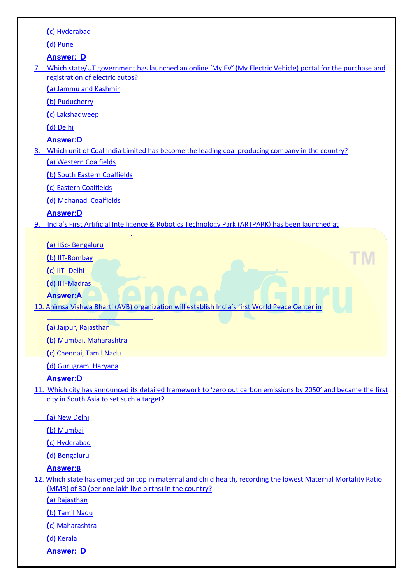|    | (c) Hyderabad                                                                                                                                 |
|----|-----------------------------------------------------------------------------------------------------------------------------------------------|
|    | (d) Pune                                                                                                                                      |
|    | <b>Answer: D</b>                                                                                                                              |
| 7. | Which state/UT government has launched an online 'My EV' (My Electric Vehicle) portal for the purchase and<br>registration of electric autos? |
|    | (a) Jammu and Kashmir                                                                                                                         |
|    | (b) Puducherry                                                                                                                                |
|    | (c) Lakshadweep                                                                                                                               |
|    | (d) Delhi                                                                                                                                     |
|    | <b>Answer:D</b>                                                                                                                               |
|    | 8. Which unit of Coal India Limited has become the leading coal producing company in the country?                                             |
|    | (a) Western Coalfields                                                                                                                        |
|    | (b) South Eastern Coalfields                                                                                                                  |
|    | (c) Eastern Coalfields                                                                                                                        |
|    | (d) Mahanadi Coalfields                                                                                                                       |
|    | <b>Answer:D</b>                                                                                                                               |
| 9. | India's First Artificial Intelligence & Robotics Technology Park (ARTPARK) has been launched at                                               |
|    |                                                                                                                                               |
|    | (a) IISc-Bengaluru                                                                                                                            |
|    | (b) IIT-Bombay                                                                                                                                |
|    | (c) IIT- Delhi                                                                                                                                |
|    | (d) IIT-Madras                                                                                                                                |
|    | <b>Answer:A</b>                                                                                                                               |
|    | 10. Ahimsa Vishwa Bharti (AVB) organization will establish India's first World Peace Center in                                                |
|    | (a) Jaipur, Rajasthan                                                                                                                         |
|    | (b) Mumbai, Maharashtra                                                                                                                       |
|    | (c) Chennai, Tamil Nadu                                                                                                                       |
|    | (d) Gurugram, Haryana                                                                                                                         |
|    | <b>Answer:D</b>                                                                                                                               |
|    | 11. Which city has announced its detailed framework to 'zero out carbon emissions by 2050' and became the first                               |
|    | city in South Asia to set such a target?                                                                                                      |
|    | (a) New Delhi                                                                                                                                 |
|    | (b) Mumbai                                                                                                                                    |
|    | (c) Hyderabad                                                                                                                                 |
|    | (d) Bengaluru                                                                                                                                 |
|    | <b>Answer:B</b>                                                                                                                               |
|    | 12. Which state has emerged on top in maternal and child health, recording the lowest Maternal Mortality Ratio                                |
|    | (MMR) of 30 (per one lakh live births) in the country?                                                                                        |
|    | (a) Rajasthan                                                                                                                                 |

**(**[b\) Tamil Nadu](https://www.defenceguru.co.in/)

**(**[c\) Maharashtra](https://www.defenceguru.co.in/)

**(**[d\) Kerala](https://www.defenceguru.co.in/)

**[Answer: D](https://www.defenceguru.co.in/)**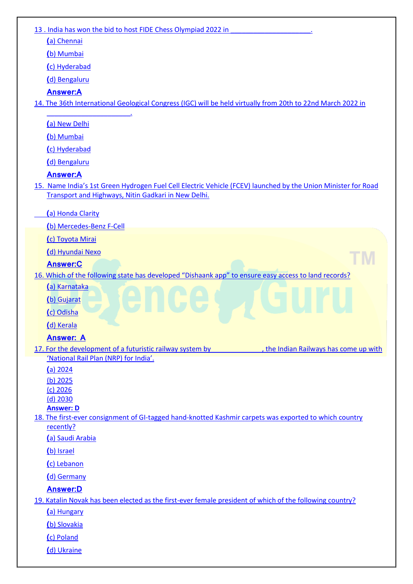| 13. India has won the bid to host FIDE Chess Olympiad 2022 in                                                                |
|------------------------------------------------------------------------------------------------------------------------------|
| (a) Chennai                                                                                                                  |
| (b) Mumbai                                                                                                                   |
| (c) Hyderabad                                                                                                                |
| (d) Bengaluru                                                                                                                |
| <b>Answer:A</b>                                                                                                              |
| 14. The 36th International Geological Congress (IGC) will be held virtually from 20th to 22nd March 2022 in                  |
| (a) New Delhi                                                                                                                |
| (b) Mumbai                                                                                                                   |
| (c) Hyderabad                                                                                                                |
| (d) Bengaluru                                                                                                                |
| <b>Answer:A</b>                                                                                                              |
| 15. Name India's 1st Green Hydrogen Fuel Cell Electric Vehicle (FCEV) launched by the Union Minister for Road                |
| Transport and Highways, Nitin Gadkari in New Delhi.                                                                          |
| (a) Honda Clarity                                                                                                            |
| (b) Mercedes-Benz F-Cell                                                                                                     |
| (c) Toyota Mirai                                                                                                             |
| (d) Hyundai Nexo                                                                                                             |
| <b>Answer:C</b>                                                                                                              |
| 16. Which of the following state has developed "Dishaank app" to ensure easy access to land records?                         |
| (a) Karnataka                                                                                                                |
| (b) Gujarat                                                                                                                  |
| (c) Odisha                                                                                                                   |
| (d) Kerala                                                                                                                   |
| <b>Answer: A</b>                                                                                                             |
| 17. For the development of a futuristic railway system by <b>Sanda's Eventuary</b><br>, the Indian Railways has come up with |
| 'National Rail Plan (NRP) for India'.<br>(a) 2024                                                                            |
| $(b)$ 2025                                                                                                                   |
| $(c)$ 2026                                                                                                                   |
| $(d)$ 2030                                                                                                                   |
| <b>Answer: D</b><br>18. The first-ever consignment of GI-tagged hand-knotted Kashmir carpets was exported to which country   |
| recently?                                                                                                                    |
| (a) Saudi Arabia                                                                                                             |
| (b) Israel                                                                                                                   |
| (c) Lebanon                                                                                                                  |
| (d) Germany                                                                                                                  |
| <b>Answer:D</b>                                                                                                              |
| 19. Katalin Novak has been elected as the first-ever female president of which of the following country?                     |
| (a) Hungary                                                                                                                  |
| (b) Slovakia                                                                                                                 |
| (c) Poland                                                                                                                   |
| (d) Ukraine                                                                                                                  |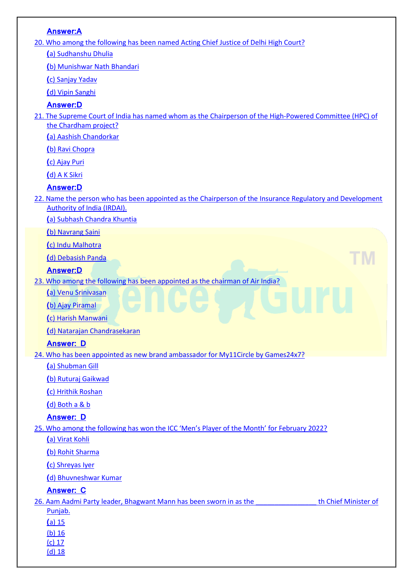| <b>Answer:A</b>                                                                                           |                      |
|-----------------------------------------------------------------------------------------------------------|----------------------|
| 20. Who among the following has been named Acting Chief Justice of Delhi High Court?                      |                      |
| (a) Sudhanshu Dhulia                                                                                      |                      |
| (b) Munishwar Nath Bhandari                                                                               |                      |
| (c) Sanjay Yadav                                                                                          |                      |
| (d) Vipin Sanghi                                                                                          |                      |
| <b>Answer:D</b>                                                                                           |                      |
| 21. The Supreme Court of India has named whom as the Chairperson of the High-Powered Committee (HPC) of   |                      |
| the Chardham project?                                                                                     |                      |
| (a) Aashish Chandorkar                                                                                    |                      |
| (b) Ravi Chopra                                                                                           |                      |
| (c) Ajay Puri                                                                                             |                      |
| (d) A K Sikri                                                                                             |                      |
| <b>Answer:D</b>                                                                                           |                      |
| 22. Name the person who has been appointed as the Chairperson of the Insurance Regulatory and Development |                      |
| <b>Authority of India (IRDAI).</b>                                                                        |                      |
| (a) Subhash Chandra Khuntia                                                                               |                      |
| (b) Navrang Saini                                                                                         |                      |
| (c) Indu Malhotra                                                                                         |                      |
| (d) Debasish Panda                                                                                        |                      |
| <b>Answer:D</b>                                                                                           |                      |
| 23. Who among the following has been appointed as the chairman of Air India?                              |                      |
| (a) Venu Srinivasan                                                                                       |                      |
| (b) Ajay Piramal                                                                                          |                      |
| (c) Harish Manwani                                                                                        |                      |
| (d) Natarajan Chandrasekaran                                                                              |                      |
| <b>Answer: D</b>                                                                                          |                      |
| 24. Who has been appointed as new brand ambassador for My11Circle by Games24x7?                           |                      |
| (a) Shubman Gill                                                                                          |                      |
| (b) Ruturaj Gaikwad                                                                                       |                      |
| (c) Hrithik Roshan                                                                                        |                      |
| (d) Both a & b                                                                                            |                      |
| <b>Answer: D</b>                                                                                          |                      |
| 25. Who among the following has won the ICC 'Men's Player of the Month' for February 2022?                |                      |
| (a) Virat Kohli                                                                                           |                      |
| (b) Rohit Sharma                                                                                          |                      |
| (c) Shreyas Iyer                                                                                          |                      |
| (d) Bhuvneshwar Kumar                                                                                     |                      |
| <b>Answer: C</b>                                                                                          |                      |
| 26. Aam Aadmi Party leader, Bhagwant Mann has been sworn in as the<br>Punjab.                             | th Chief Minister of |
| (a) 15                                                                                                    |                      |
| $(b)$ 16                                                                                                  |                      |
| $(c)$ 17<br>$(d)$ 18                                                                                      |                      |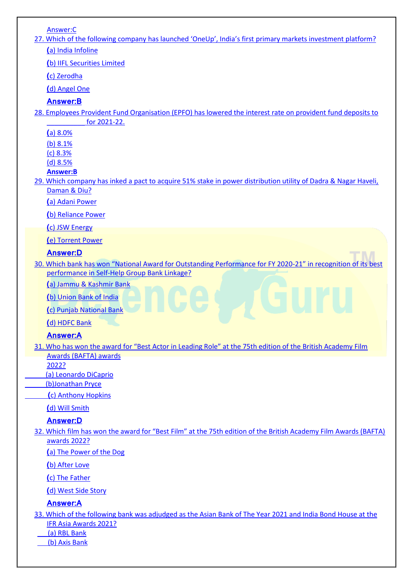[Answer:C](https://www.defenceguru.co.in/)

27[. Which of the following company has launched 'OneUp', India's first](https://www.defenceguru.co.in/) primary markets investment platform? **(**[a\) India Infoline](https://www.defenceguru.co.in/)

**(**[b\) IIFL Securities Limited](https://www.defenceguru.co.in/)

**(**[c\) Zerodha](https://www.defenceguru.co.in/)

**(**[d\) Angel One](https://www.defenceguru.co.in/)

**[Answer:B](https://www.defenceguru.co.in/)**

[28. Employees Provident Fund Organisation \(EPFO\) has lowered the interest rate on provident fund deposits to](https://www.defenceguru.co.in/)  [\\_\\_\\_\\_\\_\\_\\_\\_\\_\\_ for 2021-22.](https://www.defenceguru.co.in/)

**(**[a\) 8.0%](https://www.defenceguru.co.in/)

[\(b\) 8.1%](https://www.defenceguru.co.in/)

[\(c\) 8.3%](https://www.defenceguru.co.in/)

[\(d\) 8.5%](https://www.defenceguru.co.in/)

**[Answer:B](https://www.defenceguru.co.in/)**

[29. Which company has inked a pact to acquire 51% stake in power distribution utility of Dadra & Nagar Haveli,](https://www.defenceguru.co.in/)  [Daman & Diu?](https://www.defenceguru.co.in/)

**(**[a\) Adani Power](https://www.defenceguru.co.in/)

**(**[b\) Reliance Power](https://www.defenceguru.co.in/)

**(**[c\) JSW Energy](https://www.defenceguru.co.in/)

**(**[e\) Torrent Power](https://www.defenceguru.co.in/)

### **[Answer:D](https://www.defenceguru.co.in/)**

30. Which bank [has won "National Award for Outstanding Performance for FY 2020](https://www.defenceguru.co.in/)-21" in recognition of its best [performance in Self-Help Group Bank Linkage?](https://www.defenceguru.co.in/)

**(**[a\) Jammu & Kashmir Bank](https://www.defenceguru.co.in/)

**(**[b\) Union Bank of India](https://www.defenceguru.co.in/)

**(**[c\) Punjab National Bank](https://www.defenceguru.co.in/)

**(**[d\) HDFC Bank](https://www.defenceguru.co.in/)

### **[Answer:A](https://www.defenceguru.co.in/)**

31[. Who has won the award for "Best Actor in Leading Role" at the 75th edition of the British Academy Film](https://www.defenceguru.co.in/)  [Awards \(BAFTA\) awards](https://www.defenceguru.co.in/)

[2022?](https://www.defenceguru.co.in/)

 [\(a\) Leonardo DiCaprio](https://www.defenceguru.co.in/) 

 [\(b\)Jonathan Pryce](https://www.defenceguru.co.in/)

 **(**[c\) Anthony Hopkins](https://www.defenceguru.co.in/) 

**(**[d\) Will Smith](https://www.defenceguru.co.in/)

### **[Answer:D](https://www.defenceguru.co.in/)**

32. [Which film has won the award for "Best Film" at the 75th edition of the British Academy Film Awards \(BAFTA\)](https://www.defenceguru.co.in/)  [awards 2022?](https://www.defenceguru.co.in/)

**(**[a\) The Power of the Dog](https://www.defenceguru.co.in/)

**(**[b\) After Love](https://www.defenceguru.co.in/) 

**(**[c\) The Father](https://www.defenceguru.co.in/) 

**(**[d\) West Side Story](https://www.defenceguru.co.in/)

### **[Answer:A](https://www.defenceguru.co.in/)**

- [33. Which of the following bank was adjudged as the Asian Bank of The Year 2021 and India Bond House at the](https://www.defenceguru.co.in/)  [IFR Asia Awards 2021?](https://www.defenceguru.co.in/)
	- [\(a\) RBL Bank](https://www.defenceguru.co.in/)

 [\(b\) Axis Bank](https://www.defenceguru.co.in/)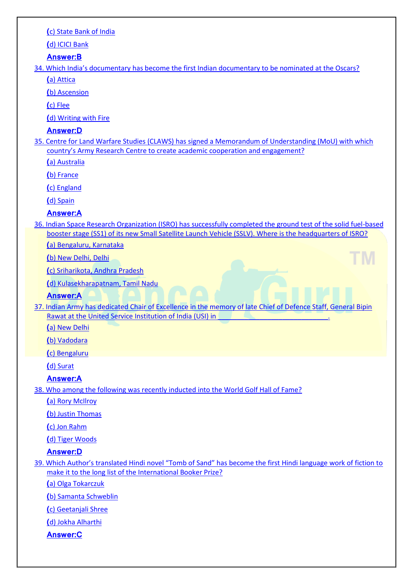### **(**[c\) State Bank of India](https://www.defenceguru.co.in/)

### **(**[d\) ICICI Bank](https://www.defenceguru.co.in/)

### **[Answer:B](https://www.defenceguru.co.in/)**

34[. Which India's documentary has become the first Indian documentary to be nominated](https://www.defenceguru.co.in/) at the Oscars?

**(**[a\) Attica](https://www.defenceguru.co.in/)

**(**[b\) Ascension](https://www.defenceguru.co.in/)

**(**[c\) Flee](https://www.defenceguru.co.in/)

**(**[d\) Writing with Fire](https://www.defenceguru.co.in/)

# **[Answer:D](https://www.defenceguru.co.in/)**

[35. Centre for Land Warfare Studies \(CLAWS\) has signed a Memorandum of Understanding \(MoU\) with which](https://www.defenceguru.co.in/)  [country's Army Research Centre to create academic cooperation and engageme](https://www.defenceguru.co.in/)nt?

**(**[a\) Australia](https://www.defenceguru.co.in/)

**(**[b\) France](https://www.defenceguru.co.in/)

**(**[c\) England](https://www.defenceguru.co.in/)

**(**[d\) Spain](https://www.defenceguru.co.in/)

# **[Answer:A](https://www.defenceguru.co.in/)**

[36. Indian Space Research Organization \(ISRO\) has successfully completed the ground test of the solid fuel-based](https://www.defenceguru.co.in/)  [booster stage \(SS1\) of its new Small Satellite Launch Vehicle \(SSLV\). Where is the headquarters of ISRO?](https://www.defenceguru.co.in/)

**(**[a\) Bengaluru, Karnataka](https://www.defenceguru.co.in/)

**(**[b\) New Delhi, Delhi](https://www.defenceguru.co.in/)

**(**[c\) Sriharikota, Andhra Pradesh](https://www.defenceguru.co.in/)

**(**[d\) Kulasekharapatnam, Tamil Nadu](https://www.defenceguru.co.in/)

# **[Answer:A](https://www.defenceguru.co.in/)**

[37. Indian Army has dedicated Chair of Excellence in the memory of late Chief of Defence Staff, General Bipin](https://www.defenceguru.co.in/)  Rawat at the United Service Institution of India (USI) in

**(**[a\) New Delhi](https://www.defenceguru.co.in/)

**(**[b\) Vadodara](https://www.defenceguru.co.in/)

**(**[c\) Bengaluru](https://www.defenceguru.co.in/)

**(**[d\) Surat](https://www.defenceguru.co.in/)

# **[Answer:A](https://www.defenceguru.co.in/)**

[38. Who among the following was recently inducted into the World Golf Hall of Fame?](https://www.defenceguru.co.in/)

**(**[a\) Rory McIlroy](https://www.defenceguru.co.in/)

**(**[b\) Justin Thomas](https://www.defenceguru.co.in/) 

**(**[c\) Jon Rahm](https://www.defenceguru.co.in/)

**(**[d\) Tiger Woods](https://www.defenceguru.co.in/)

# **[Answer:D](https://www.defenceguru.co.in/)**

39[. Which Author's translated Hindi novel "Tomb of Sand" has become the first Hindi language work of fiction to](https://www.defenceguru.co.in/)  [make it to the long list of the International Booker Prize?](https://www.defenceguru.co.in/)

**(**[a\) Olga Tokarczuk](https://www.defenceguru.co.in/)

**(**[b\) Samanta Schweblin](https://www.defenceguru.co.in/)

**(**[c\) Geetanjali Shree](https://www.defenceguru.co.in/)

**(**[d\) Jokha Alharthi](https://www.defenceguru.co.in/)

**[Answer:C](https://www.defenceguru.co.in/)**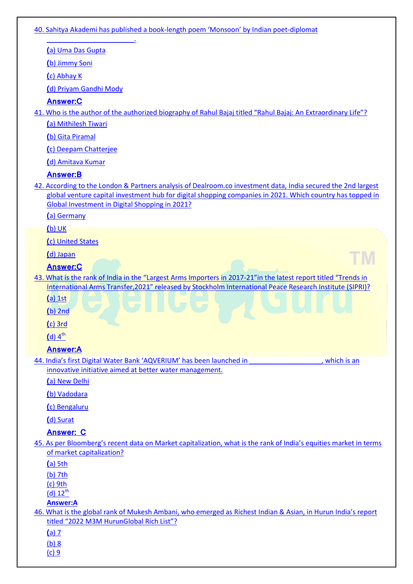[40. Sahitya Akademi has published a book-](https://www.defenceguru.co.in/)length poem 'Monsoon' by Indian poet-diplomat

**(**[a\) Uma Das Gupta](https://www.defenceguru.co.in/)

**(**[b\) Jimmy Soni](https://www.defenceguru.co.in/)

**(**[c\) Abhay K](https://www.defenceguru.co.in/)

**(**[d\) Priyam Gandhi Mody](https://www.defenceguru.co.in/)

[\\_\\_\\_\\_\\_\\_\\_\\_\\_\\_\\_\\_\\_\\_\\_\\_\\_\\_\\_\\_\\_\\_\\_.](https://www.defenceguru.co.in/)

### **[Answer:C](https://www.defenceguru.co.in/)**

41. Who is [the author of the authorized biography of Rahul Bajaj titled "Rahul Bajaj: An Extraordinary Life"?](https://www.defenceguru.co.in/)

**(**[a\) Mithilesh Tiwari](https://www.defenceguru.co.in/)

**(**[b\) Gita Piramal](https://www.defenceguru.co.in/)

**(**[c\) Deepam Chatterjee](https://www.defenceguru.co.in/)

**(**[d\) Amitava Kumar](https://www.defenceguru.co.in/)

### **[Answer:B](https://www.defenceguru.co.in/)**

[42. According to the London & Partners analysis of Dealroom.co investment data, India secured the 2nd largest](https://www.defenceguru.co.in/)  [global venture capital investment hub for digital shopping companies in 2021. Which country has topped in](https://www.defenceguru.co.in/)  [Global Investment in Digital Shopping in 2021?](https://www.defenceguru.co.in/)

**(**[a\) Germany](https://www.defenceguru.co.in/)

**(**[b\) UK](https://www.defenceguru.co.in/)

**(**[c\) United States](https://www.defenceguru.co.in/)

**(**[d\) Japan](https://www.defenceguru.co.in/)

### **[Answer:C](https://www.defenceguru.co.in/)**

43. Wh[at is the rank of India in the "Largest Arms Importers in 2017](https://www.defenceguru.co.in/)-21"in the latest report titled "Trends in [International Arms Transfer,2021" released by Stockholm International Peace Research Institute \(SIPRI\)?](https://www.defenceguru.co.in/)

ГM

**(**[a\) 1st](https://www.defenceguru.co.in/)

**(**[b\) 2nd](https://www.defenceguru.co.in/)

**(**[c\) 3rd](https://www.defenceguru.co.in/)

 $(d)$  4<sup>th</sup>

### **[Answer:A](https://www.defenceguru.co.in/)**

44. India's first Digital Water Bank 'AQVERIUM' has been launched in \_\_\_\_\_\_\_\_\_\_\_\_\_\_\_\_\_, which is an [innovative initiative aimed at better water management.](https://www.defenceguru.co.in/)

**(**[a\) New Delhi](https://www.defenceguru.co.in/)

**(**[b\) Vadodara](https://www.defenceguru.co.in/)

**(**[c\) Bengaluru](https://www.defenceguru.co.in/)

**(**[d\) Surat](https://www.defenceguru.co.in/)

### **[Answer: C](https://www.defenceguru.co.in/)**

45[. As per Bloomberg's recent data on Market capitalization, what is the rank of India's equities market in terms](https://www.defenceguru.co.in/)  [of market capitalization?](https://www.defenceguru.co.in/)

**(**[a\) 5th](https://www.defenceguru.co.in/)

[\(b\) 7th](https://www.defenceguru.co.in/)

[\(c\) 9th](https://www.defenceguru.co.in/)

 $(d) 12^{th}$  $(d) 12^{th}$ 

### **[Answer:A](https://www.defenceguru.co.in/)**

46[. What is the global rank of Mukesh Ambani, who emerged as Richest Indian & Asian, in Hurun India's report](https://www.defenceguru.co.in/)  tit[led "2022 M3M HurunGlobal Rich List"?](https://www.defenceguru.co.in/)

**(**[a\) 7](https://www.defenceguru.co.in/)

[\(b\) 8](https://www.defenceguru.co.in/)

[\(c\) 9](https://www.defenceguru.co.in/)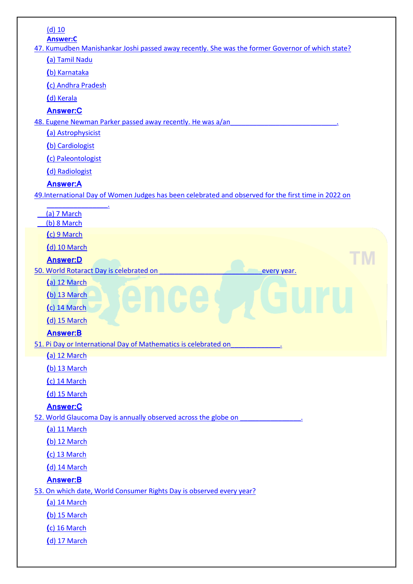| $(d)$ 10                                                                                                            |
|---------------------------------------------------------------------------------------------------------------------|
| <b>Answer:C</b><br>47. Kumudben Manishankar Joshi passed away recently. She was the former Governor of which state? |
| (a) Tamil Nadu                                                                                                      |
| (b) Karnataka                                                                                                       |
| (c) Andhra Pradesh                                                                                                  |
| (d) Kerala                                                                                                          |
| <b>Answer:C</b>                                                                                                     |
| 48. Eugene Newman Parker passed away recently. He was a/an                                                          |
| (a) Astrophysicist                                                                                                  |
| (b) Cardiologist                                                                                                    |
| (c) Paleontologist                                                                                                  |
| (d) Radiologist                                                                                                     |
| <b>Answer:A</b>                                                                                                     |
| 49.International Day of Women Judges has been celebrated and observed for the first time in 2022 on                 |
| (a) 7 March                                                                                                         |
| (b) 8 March                                                                                                         |
| (c) 9 March                                                                                                         |
| (d) 10 March                                                                                                        |
| <b>Answer:D</b>                                                                                                     |
| 50. World Rotaract Day is celebrated on<br>every year.                                                              |
| (a) 12 March                                                                                                        |
| (b) 13 March                                                                                                        |
| (c) 14 March                                                                                                        |
| (d) 15 March                                                                                                        |
| <b>Answer:B</b>                                                                                                     |
| 51. Pi Day or International Day of Mathematics is celebrated on                                                     |
| $(a)$ 12 March                                                                                                      |
| (b) 13 March                                                                                                        |
| (c) 14 March                                                                                                        |
| (d) 15 March                                                                                                        |
| <b>Answer:C</b>                                                                                                     |
| 52. World Glaucoma Day is annually observed across the globe on<br>(a) 11 March                                     |
| $(b)$ 12 March                                                                                                      |
| (c) 13 March                                                                                                        |
| (d) 14 March                                                                                                        |
| <b>Answer:B</b>                                                                                                     |
| 53. On which date, World Consumer Rights Day is observed every year?                                                |
| (a) 14 March                                                                                                        |
| (b) 15 March                                                                                                        |
| (c) 16 March                                                                                                        |
| (d) 17 March                                                                                                        |
|                                                                                                                     |